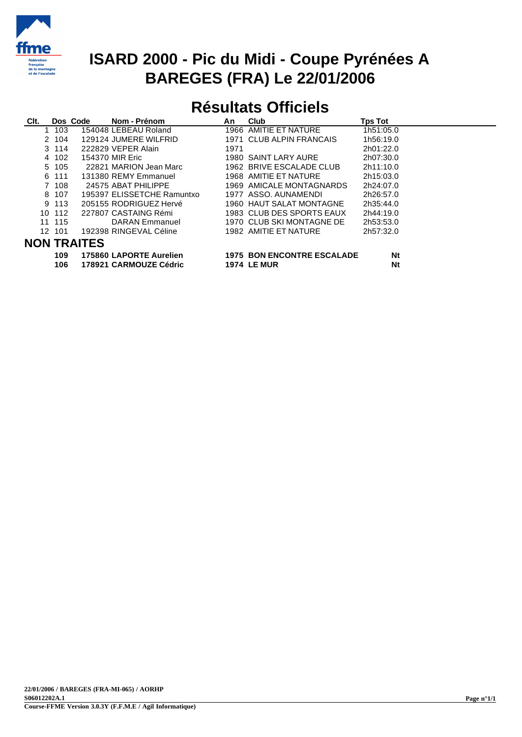

## **ISARD 2000 - Pic du Midi - Coupe Pyrénées A BAREGES (FRA) Le 22/01/2006**

## **Résultats Officiels**

| Clt.               |           | Dos Code | Nom - Prénom               | An   | Club                              | <b>Tps Tot</b> |
|--------------------|-----------|----------|----------------------------|------|-----------------------------------|----------------|
|                    | 103<br>1. |          | 154048 LEBEAU Roland       |      | 1966 AMITIE ET NATURE             | 1h51:05.0      |
|                    | 2 104     |          | 129124 JUMERE WILFRID      |      | 1971 CLUB ALPIN FRANCAIS          | 1h56:19.0      |
|                    | 3 114     |          | 222829 VEPER Alain         | 1971 |                                   | 2h01:22.0      |
|                    | 4 102     |          | 154370 MIR Eric            |      | 1980 SAINT LARY AURE              | 2h07:30.0      |
|                    | 5 105     |          | 22821 MARION Jean Marc     |      | 1962 BRIVE ESCALADE CLUB          | 2h11:10.0      |
|                    | 6 111     |          | 131380 REMY Emmanuel       |      | 1968 AMITIE ET NATURE             | 2h15:03.0      |
|                    | 7 108     |          | 24575 ABAT PHILIPPE        |      | 1969 AMICALE MONTAGNARDS          | 2h24:07.0      |
|                    | 8 107     |          | 195397 ELISSETCHE Ramuntxo |      | 1977 ASSO, AUNAMENDI              | 2h26:57.0      |
|                    | 9 113     |          | 205155 RODRIGUEZ Hervé     |      | 1960 HAUT SALAT MONTAGNE          | 2h35:44.0      |
|                    | 10 112    |          | 227807 CASTAING Rémi       |      | 1983 CLUB DES SPORTS EAUX         | 2h44:19.0      |
|                    | 11 115    |          | DARAN Emmanuel             |      | 1970 CLUB SKI MONTAGNE DE         | 2h53:53.0      |
|                    | 12 101    |          | 192398 RINGEVAL Céline     |      | 1982 AMITIE ET NATURE             | 2h57:32.0      |
| <b>NON TRAITES</b> |           |          |                            |      |                                   |                |
|                    | 109       |          | 175860 LAPORTE Aurelien    |      | <b>1975 BON ENCONTRE ESCALADE</b> | Nt             |
|                    |           |          |                            |      |                                   |                |

| .   |                         |                                   |    |  |  |  |  |
|-----|-------------------------|-----------------------------------|----|--|--|--|--|
| 109 | 175860 LAPORTE Aurelien | <b>1975 BON ENCONTRE ESCALADE</b> | Nt |  |  |  |  |
| 106 | 178921 CARMOUZE Cédric  | <b>1974 LE MUR</b>                | Nt |  |  |  |  |